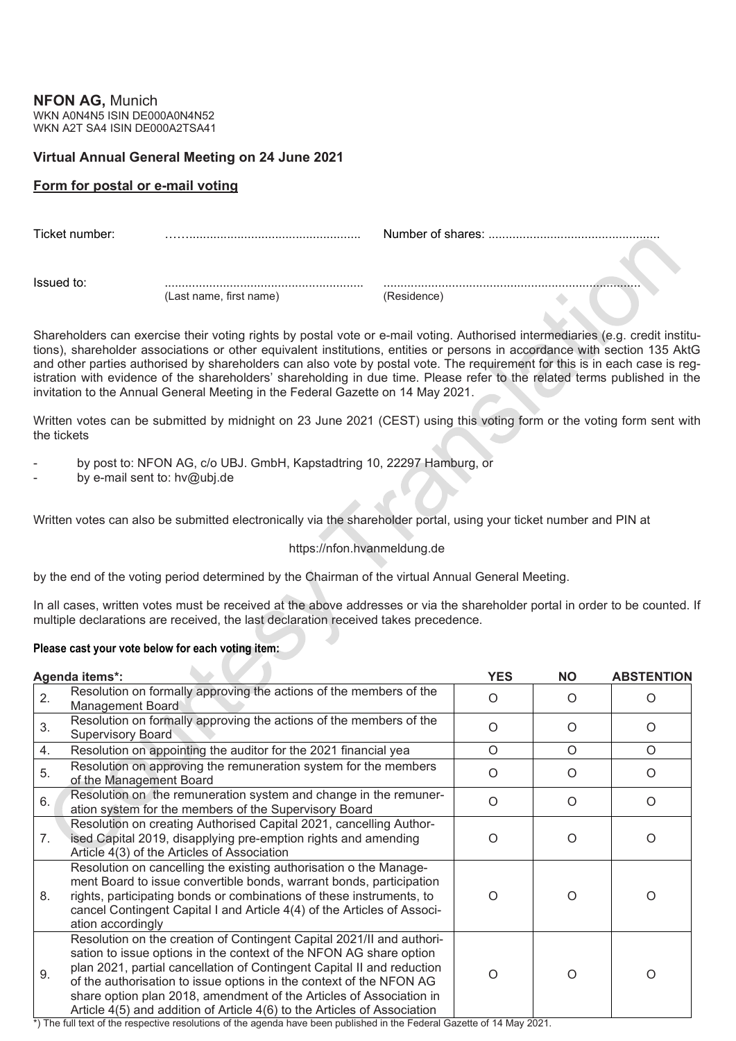**NFON AG,** Munich WKN A0N4N5 ISIN DE000A0N4N52 WKN A2T SA4 ISIN DE000A2TSA41

## **Virtual Annual General Meeting on 24 June 2021**

## **Form for postal or e-mail voting**

| Ticket number: |                         |             |  |  |  |
|----------------|-------------------------|-------------|--|--|--|
| Issued to:     |                         |             |  |  |  |
|                | (Last name, first name) | (Residence) |  |  |  |

Shareholders can exercise their voting rights by postal vote or e-mail voting. Authorised intermediaries (e.g. credit institutions), shareholder associations or other equivalent institutions, entities or persons in accordance with section 135 AktG and other parties authorised by shareholders can also vote by postal vote. The requirement for this is in each case is registration with evidence of the shareholders' shareholding in due time. Please refer to the related terms published in the invitation to the Annual General Meeting in the Federal Gazette on 14 May 2021.

Written votes can be submitted by midnight on 23 June 2021 (CEST) using this voting form or the voting form sent with the tickets

- by post to: NFON AG, c/o UBJ. GmbH, Kapstadtring 10, 22297 Hamburg, or
- by e-mail sent to: hv@ubj.de

Written votes can also be submitted electronically via the shareholder portal, using your ticket number and PIN at

## https://nfon.hvanmeldung.de

by the end of the voting period determined by the Chairman of the virtual Annual General Meeting.

In all cases, written votes must be received at the above addresses or via the shareholder portal in order to be counted. If multiple declarations are received, the last declaration received takes precedence.

## **Please cast your vote below for each voting item:**

|    | Agenda items*:                                                                                                                                                                                                                                                                                                                                                                                                                                  | <b>YES</b> | <b>NO</b> | <b>ABSTENTION</b> |
|----|-------------------------------------------------------------------------------------------------------------------------------------------------------------------------------------------------------------------------------------------------------------------------------------------------------------------------------------------------------------------------------------------------------------------------------------------------|------------|-----------|-------------------|
| 2. | Resolution on formally approving the actions of the members of the<br>Management Board                                                                                                                                                                                                                                                                                                                                                          | $\Omega$   | $\Omega$  | $\Omega$          |
| 3. | Resolution on formally approving the actions of the members of the<br><b>Supervisory Board</b>                                                                                                                                                                                                                                                                                                                                                  | O          | $\Omega$  | O                 |
| 4. | Resolution on appointing the auditor for the 2021 financial yea                                                                                                                                                                                                                                                                                                                                                                                 | $\circ$    | $\circ$   | $\circ$           |
| 5. | Resolution on approving the remuneration system for the members<br>of the Management Board                                                                                                                                                                                                                                                                                                                                                      | $\Omega$   | $\Omega$  | $\Omega$          |
| 6. | Resolution on the remuneration system and change in the remuner-<br>ation system for the members of the Supervisory Board                                                                                                                                                                                                                                                                                                                       | $\Omega$   | $\Omega$  | $\Omega$          |
| 7. | Resolution on creating Authorised Capital 2021, cancelling Author-<br>ised Capital 2019, disapplying pre-emption rights and amending<br>Article 4(3) of the Articles of Association                                                                                                                                                                                                                                                             | O          | $\Omega$  | O                 |
| 8. | Resolution on cancelling the existing authorisation o the Manage-<br>ment Board to issue convertible bonds, warrant bonds, participation<br>rights, participating bonds or combinations of these instruments, to<br>cancel Contingent Capital I and Article 4(4) of the Articles of Associ-<br>ation accordingly                                                                                                                                | O          | ∩         | O                 |
| 9. | Resolution on the creation of Contingent Capital 2021/II and authori-<br>sation to issue options in the context of the NFON AG share option<br>plan 2021, partial cancellation of Contingent Capital II and reduction<br>of the authorisation to issue options in the context of the NFON AG<br>share option plan 2018, amendment of the Articles of Association in<br>Article 4(5) and addition of Article 4(6) to the Articles of Association | O          | $\Omega$  | O                 |

\*) The full text of the respective resolutions of the agenda have been published in the Federal Gazette of 14 May 2021.